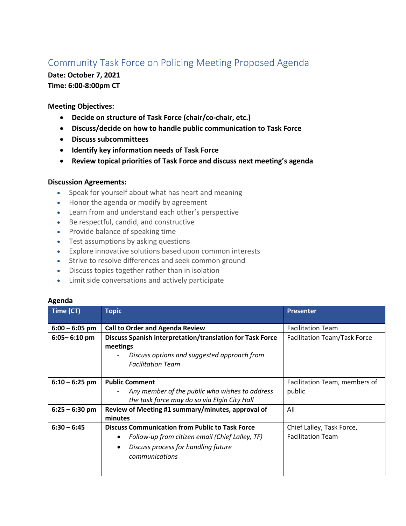## Community Task Force on Policing Meeting Proposed Agenda

## **Date: October 7, 2021 Time: 6:00-8:00pm CT**

**Meeting Objectives:**

- **Decide on structure of Task Force (chair/co-chair, etc.)**
- **Discuss/decide on how to handle public communication to Task Force**
- **Discuss subcommittees**
- **Identify key information needs of Task Force**
- **Review topical priorities of Task Force and discuss next meeting's agenda**

## **Discussion Agreements:**

- Speak for yourself about what has heart and meaning
- Honor the agenda or modify by agreement
- Learn from and understand each other's perspective
- Be respectful, candid, and constructive
- Provide balance of speaking time
- Test assumptions by asking questions
- Explore innovative solutions based upon common interests
- Strive to resolve differences and seek common ground
- Discuss topics together rather than in isolation
- Limit side conversations and actively participate

## **Agenda**

| Time (CT)        | <b>Topic</b>                                                                                                                                                       | <b>Presenter</b>                                      |
|------------------|--------------------------------------------------------------------------------------------------------------------------------------------------------------------|-------------------------------------------------------|
| $6:00 - 6:05$ pm | <b>Call to Order and Agenda Review</b>                                                                                                                             | <b>Facilitation Team</b>                              |
| $6:05 - 6:10$ pm | Discuss Spanish interpretation/translation for Task Force<br>meetings<br>Discuss options and suggested approach from<br><b>Facilitation Team</b>                   | <b>Facilitation Team/Task Force</b>                   |
| $6:10 - 6:25$ pm | <b>Public Comment</b><br>Any member of the public who wishes to address<br>$\overline{\phantom{a}}$<br>the task force may do so via Elgin City Hall                | Facilitation Team, members of<br>public               |
| $6:25 - 6:30$ pm | Review of Meeting #1 summary/minutes, approval of<br>minutes                                                                                                       | All                                                   |
| $6:30 - 6:45$    | <b>Discuss Communication from Public to Task Force</b><br>Follow-up from citizen email (Chief Lalley, TF)<br>Discuss process for handling future<br>communications | Chief Lalley, Task Force,<br><b>Facilitation Team</b> |